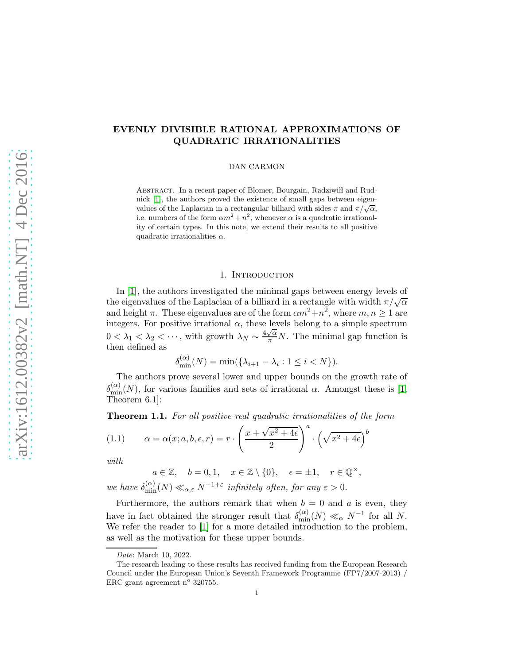# arXiv:1612.00382v2 [math.NT] 4 Dec 2016 [arXiv:1612.00382v2 \[math.NT\] 4 Dec 2016](http://arxiv.org/abs/1612.00382v2)

# EVENLY DIVISIBLE RATIONAL APPROXIMATIONS OF QUADRATIC IRRATIONALITIES

### DAN CARMON

ABSTRACT. In a recent paper of Blomer, Bourgain, Radziwill and Rudnick [\[1\]](#page-6-0), the authors proved the existence of small gaps between eigenvalues of the Laplacian in a rectangular billiard with sides  $\pi$  and  $\pi/\sqrt{\alpha}$ , i.e. numbers of the form  $\alpha m^2 + n^2$ , whenever  $\alpha$  is a quadratic irrationality of certain types. In this note, we extend their results to all positive quadratic irrationalities  $\alpha$ .

# 1. INTRODUCTION

In [\[1\]](#page-6-0), the authors investigated the minimal gaps between energy levels of the eigenvalues of the Laplacian of a billiard in a rectangle with width  $\pi/\sqrt{\alpha}$ and height  $\pi$ . These eigenvalues are of the form  $\alpha m^2 + n^2$ , where  $m, n \ge 1$  are integers. For positive irrational  $\alpha$ , these levels belong to a simple spectrum  $0 < \lambda_1 < \lambda_2 < \cdots$ , with growth  $\lambda_N \sim \frac{4\sqrt{\alpha}}{\pi} N$ . The minimal gap function is then defined as

$$
\delta_{\min}^{(\alpha)}(N) = \min(\{\lambda_{i+1} - \lambda_i : 1 \le i < N\}).
$$

The authors prove several lower and upper bounds on the growth rate of  $\delta_{\min}^{(\alpha)}(N)$ , for various families and sets of irrational  $\alpha$ . Amongst these is [\[1,](#page-6-0) Theorem 6.1]:

<span id="page-0-1"></span>**Theorem 1.1.** For all positive real quadratic irrationalities of the form

<span id="page-0-0"></span>(1.1) 
$$
\alpha = \alpha(x; a, b, \epsilon, r) = r \cdot \left(\frac{x + \sqrt{x^2 + 4\epsilon}}{2}\right)^a \cdot \left(\sqrt{x^2 + 4\epsilon}\right)^b
$$

with

 $a \in \mathbb{Z}, \quad b = 0, 1, \quad x \in \mathbb{Z} \setminus \{0\}, \quad \epsilon = \pm 1, \quad r \in \mathbb{Q}^{\times},$ we have  $\delta_{\min}^{(\alpha)}(N) \ll_{\alpha,\varepsilon} N^{-1+\varepsilon}$  infinitely often, for any  $\varepsilon > 0$ .

Furthermore, the authors remark that when  $b = 0$  and a is even, they have in fact obtained the stronger result that  $\delta_{\min}^{(\alpha)}(N) \ll_{\alpha} N^{-1}$  for all N. We refer the reader to [\[1\]](#page-6-0) for a more detailed introduction to the problem, as well as the motivation for these upper bounds.

Date: March 10, 2022.

The research leading to these results has received funding from the European Research Council under the European Union's Seventh Framework Programme (FP7/2007-2013) / ERC grant agreement  $n^{\circ}$  320755.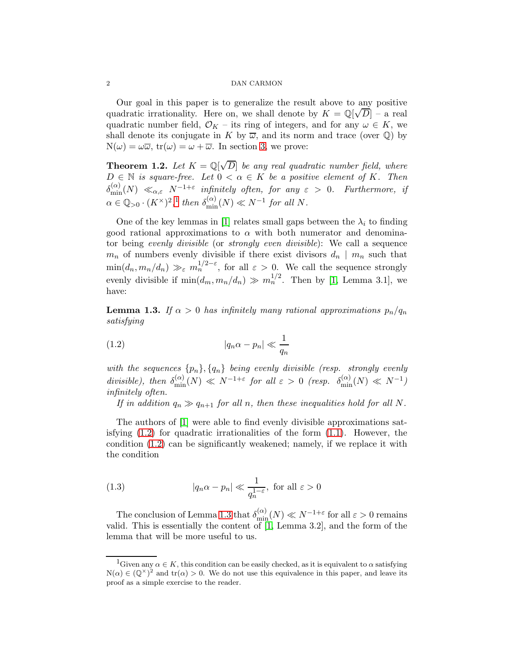### 2 DAN CARMON

Our goal in this paper is to generalize the result above to any positive quadratic irrationality. Here on, we shall denote by  $K = \mathbb{Q}[\sqrt{D}]$  – a real quadratic number field,  $\mathcal{O}_K$  – its ring of integers, and for any  $\omega \in K$ , we shall denote its conjugate in K by  $\overline{\omega}$ , and its norm and trace (over  $\mathbb{Q}$ ) by  $N(\omega) = \omega \overline{\omega}$ ,  $tr(\omega) = \omega + \overline{\omega}$ . In section [3,](#page-3-0) we prove:

<span id="page-1-3"></span>**Theorem 1.2.** Let  $K = \mathbb{Q}[\sqrt{D}]$  be any real quadratic number field, where  $D \in \mathbb{N}$  is square-free. Let  $0 < \alpha \in K$  be a positive element of K. Then  $\delta_{\min}^{(\alpha)}(N) \ll_{\alpha,\varepsilon} N^{-1+\varepsilon}$  infinitely often, for any  $\varepsilon > 0$ . Furthermore, if  $\alpha \in \mathbb{Q}_{>0} \cdot (K^{\times})^2$ ,<sup>[1](#page-1-0)</sup> then  $\delta_{\min}^{(\alpha)}(N) \ll N^{-1}$  for all N.

One of the key lemmas in [\[1\]](#page-6-0) relates small gaps between the  $\lambda_i$  to finding good rational approximations to  $\alpha$  with both numerator and denominator being evenly divisible (or strongly even divisible): We call a sequence  $m_n$  of numbers evenly divisible if there exist divisors  $d_n \mid m_n$  such that  $\min(d_n, m_n/d_n) \gg_{\varepsilon} m_n^{1/2-\varepsilon}$ , for all  $\varepsilon > 0$ . We call the sequence strongly evenly divisible if  $\min(d_m, m_n/d_n) \gg m_n^{1/2}$ . Then by [\[1,](#page-6-0) Lemma 3.1], we have:

<span id="page-1-2"></span>**Lemma 1.3.** If  $\alpha > 0$  has infinitely many rational approximations  $p_n/q_n$ satisfying

<span id="page-1-1"></span>
$$
(1.2) \t |q_n \alpha - p_n| \ll \frac{1}{q_n}
$$

with the sequences  $\{p_n\}, \{q_n\}$  being evenly divisible (resp. strongly evenly divisible), then  $\delta_{\min}^{(\alpha)}(N) \ll N^{-1+\varepsilon}$  for all  $\varepsilon > 0$  (resp.  $\delta_{\min}^{(\alpha)}(N) \ll N^{-1}$ ) infinitely often.

If in addition  $q_n \gg q_{n+1}$  for all n, then these inequalities hold for all N.

The authors of [\[1\]](#page-6-0) were able to find evenly divisible approximations satisfying  $(1.2)$  for quadratic irrationalities of the form  $(1.1)$ . However, the condition [\(1.2\)](#page-1-1) can be significantly weakened; namely, if we replace it with the condition

(1.3) 
$$
|q_n \alpha - p_n| \ll \frac{1}{q_n^{1-\varepsilon}}
$$
, for all  $\varepsilon > 0$ 

The conclusion of Lemma [1.3](#page-1-2) that  $\delta_{\min}^{(\alpha)}(N) \ll N^{-1+\varepsilon}$  for all  $\varepsilon > 0$  remains valid. This is essentially the content of [\[1,](#page-6-0) Lemma 3.2], and the form of the lemma that will be more useful to us.

<span id="page-1-0"></span><sup>&</sup>lt;sup>1</sup>Given any  $\alpha \in K$ , this condition can be easily checked, as it is equivalent to  $\alpha$  satisfying  $N(\alpha) \in (\mathbb{Q}^{\times})^2$  and  $tr(\alpha) > 0$ . We do not use this equivalence in this paper, and leave its proof as a simple exercise to the reader.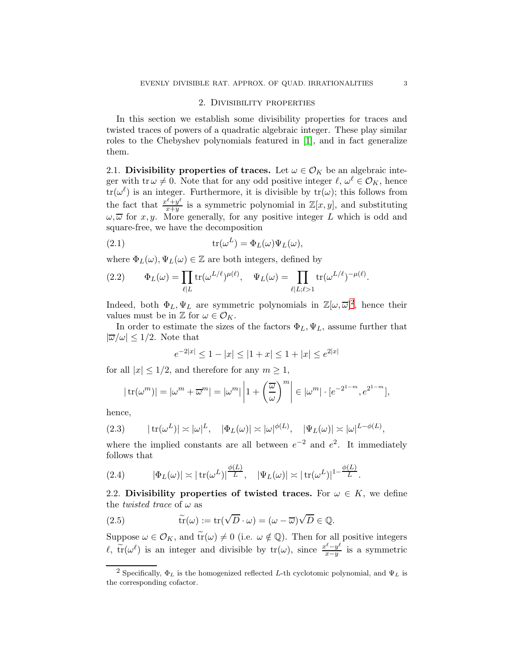# 2. Divisibility properties

In this section we establish some divisibility properties for traces and twisted traces of powers of a quadratic algebraic integer. These play similar roles to the Chebyshev polynomials featured in [\[1\]](#page-6-0), and in fact generalize them.

<span id="page-2-1"></span>2.1. Divisibility properties of traces. Let  $\omega \in \mathcal{O}_K$  be an algebraic integer with tr  $\omega \neq 0$ . Note that for any odd positive integer  $\ell, \omega^{\ell} \in \mathcal{O}_K$ , hence  $\text{tr}(\omega^{\ell})$  is an integer. Furthermore, it is divisible by  $\text{tr}(\omega)$ ; this follows from the fact that  $\frac{x^{\ell}+y^{\ell}}{x+y}$  $\frac{x+y}{x+y}$  is a symmetric polynomial in  $\mathbb{Z}[x,y]$ , and substituting  $\omega, \overline{\omega}$  for x, y. More generally, for any positive integer L which is odd and square-free, we have the decomposition

(2.1) 
$$
\operatorname{tr}(\omega^L) = \Phi_L(\omega)\Psi_L(\omega),
$$

where  $\Phi_L(\omega), \Psi_L(\omega) \in \mathbb{Z}$  are both integers, defined by

(2.2) 
$$
\Phi_L(\omega) = \prod_{\ell | L} \text{tr}(\omega^{L/\ell})^{\mu(\ell)}, \quad \Psi_L(\omega) = \prod_{\ell | L; \ell > 1} \text{tr}(\omega^{L/\ell})^{-\mu(\ell)}.
$$

Indeed, both  $\Phi_L, \Psi_L$  are symmetric polynomials in  $\mathbb{Z}[\omega,\overline{\omega}]^2$  $\mathbb{Z}[\omega,\overline{\omega}]^2$ , hence their values must be in Z for  $\omega \in \mathcal{O}_K$ .

In order to estimate the sizes of the factors  $\Phi_L$ ,  $\Psi_L$ , assume further that  $|\overline{\omega}/\omega| \leq 1/2$ . Note that

$$
e^{-2|x|} \le 1 - |x| \le |1 + x| \le 1 + |x| \le e^{2|x|}
$$

for all  $|x| \leq 1/2$ , and therefore for any  $m \geq 1$ ,

$$
|\operatorname{tr}(\omega^m)| = |\omega^m + \overline{\omega}^m| = |\omega^m| \left| 1 + \left(\frac{\overline{\omega}}{\omega}\right)^m \right| \in |\omega^m| \cdot [e^{-2^{1-m}}, e^{2^{1-m}}],
$$

hence,

(2.3) 
$$
|\operatorname{tr}(\omega^L)| \asymp |\omega|^L, \quad |\Phi_L(\omega)| \asymp |\omega|^{\phi(L)}, \quad |\Psi_L(\omega)| \asymp |\omega|^{L-\phi(L)},
$$

where the implied constants are all between  $e^{-2}$  and  $e^{2}$ . It immediately follows that

(2.4) 
$$
|\Phi_L(\omega)| \asymp |\operatorname{tr}(\omega^L)|^{\frac{\phi(L)}{L}}, \quad |\Psi_L(\omega)| \asymp |\operatorname{tr}(\omega^L)|^{1-\frac{\phi(L)}{L}}.
$$

2.2. Divisibility properties of twisted traces. For  $\omega \in K$ , we define the *twisted trace* of  $\omega$  as

(2.5) 
$$
\widetilde{\operatorname{tr}}(\omega) := \operatorname{tr}(\sqrt{D} \cdot \omega) = (\omega - \overline{\omega})\sqrt{D} \in \mathbb{Q}.
$$

Suppose  $\omega \in \mathcal{O}_K$ , and  $tr(\omega) \neq 0$  (i.e.  $\omega \notin \mathbb{Q}$ ). Then for all positive integers  $\ell$ ,  $\widetilde{\text{tr}}(\omega^{\ell})$  is an integer and divisible by  $\text{tr}(\omega)$ , since  $\frac{x^{\ell}-y^{\ell}}{x-y}$  $\frac{x-y^2}{x-y}$  is a symmetric

<span id="page-2-0"></span><sup>&</sup>lt;sup>2</sup> Specifically,  $\Phi_L$  is the homogenized reflected L-th cyclotomic polynomial, and  $\Psi_L$  is the corresponding cofactor.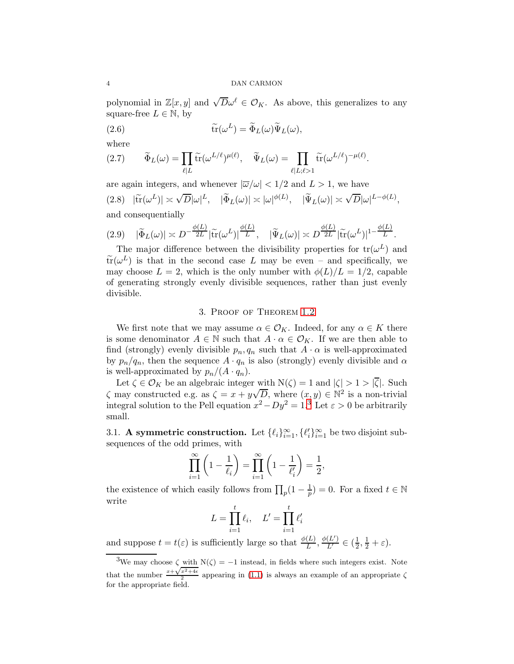4 DAN CARMON

polynomial in  $\mathbb{Z}[x,y]$  and  $\sqrt{D}\omega^{\ell} \in \mathcal{O}_K$ . As above, this generalizes to any square-free  $L \in \mathbb{N}$ , by

(2.6) 
$$
\widetilde{\operatorname{tr}}(\omega^L) = \widetilde{\Phi}_L(\omega) \widetilde{\Psi}_L(\omega),
$$

where

(2.7) 
$$
\widetilde{\Phi}_L(\omega) = \prod_{\ell | L} \widetilde{\operatorname{tr}}(\omega^{L/\ell})^{\mu(\ell)}, \quad \widetilde{\Psi}_L(\omega) = \prod_{\ell | L; \ell > 1} \widetilde{\operatorname{tr}}(\omega^{L/\ell})^{-\mu(\ell)}.
$$

are again integers, and whenever  $|\overline{\omega}/\omega| < 1/2$  and  $L > 1$ , we have  $(2.8)$   $|\tilde{tr}(\omega^L)| \asymp \sqrt{D}|\omega|^L$ ,  $|\tilde{\Phi}_L(\omega)| \asymp |\omega|^{\phi(L)}$ ,  $|\tilde{\Psi}_L(\omega)| \asymp \sqrt{D}|\omega|^{L-\phi(L)}$ , and consequentially

$$
(2.9) \quad |\widetilde{\Phi}_L(\omega)| \asymp D^{-\frac{\phi(L)}{2L}} |\widetilde{\mathrm{tr}}(\omega^L)|^{\frac{\phi(L)}{L}}, \quad |\widetilde{\Psi}_L(\omega)| \asymp D^{\frac{\phi(L)}{2L}} |\widetilde{\mathrm{tr}}(\omega^L)|^{1-\frac{\phi(L)}{L}}.
$$

The major difference between the divisibility properties for  $tr(\omega^L)$  and  $\tilde{\mathrm{tr}}(\omega^L)$  is that in the second case L may be even – and specifically, we may choose  $L = 2$ , which is the only number with  $\phi(L)/L = 1/2$ , capable of generating strongly evenly divisible sequences, rather than just evenly divisible.

## 3. Proof of Theorem [1.2](#page-1-3)

<span id="page-3-0"></span>We first note that we may assume  $\alpha \in \mathcal{O}_K$ . Indeed, for any  $\alpha \in K$  there is some denominator  $A \in \mathbb{N}$  such that  $A \cdot \alpha \in \mathcal{O}_K$ . If we are then able to find (strongly) evenly divisible  $p_n, q_n$  such that  $A \cdot \alpha$  is well-approximated by  $p_n/q_n$ , then the sequence  $A \cdot q_n$  is also (strongly) evenly divisible and  $\alpha$ is well-approximated by  $p_n/(A \cdot q_n)$ .

Let  $\zeta \in \mathcal{O}_K$  be an algebraic integer with  $N(\zeta) = 1$  and  $|\zeta| > 1 > |\overline{\zeta}|$ . Such  $\zeta$  may constructed e.g. as  $\zeta = x + y\sqrt{D}$ , where  $(x, y) \in \mathbb{N}^2$  is a non-trivial integral solution to the Pell equation  $x^2 - Dy^2 = 1$ .<sup>[3](#page-3-1)</sup> Let  $\varepsilon > 0$  be arbitrarily small.

3.1. A symmetric construction. Let  $\{\ell_i\}_{i=1}^{\infty}, \{\ell'_i\}_{i=1}^{\infty}$  be two disjoint subsequences of the odd primes, with

$$
\prod_{i=1}^{\infty} \left(1 - \frac{1}{\ell_i}\right) = \prod_{i=1}^{\infty} \left(1 - \frac{1}{\ell'_i}\right) = \frac{1}{2},
$$

the existence of which easily follows from  $\prod_p(1-\frac{1}{p})=0$ . For a fixed  $t \in \mathbb{N}$ write

$$
L = \prod_{i=1}^{t} \ell_i, \quad L' = \prod_{i=1}^{t} \ell'_i
$$

and suppose  $t = t(\varepsilon)$  is sufficiently large so that  $\frac{\phi(L)}{L}, \frac{\phi(L')}{L'} \in (\frac{1}{2})$  $\frac{1}{2}, \frac{1}{2} + \varepsilon$ ).

<span id="page-3-1"></span><sup>&</sup>lt;sup>3</sup>We may choose  $\zeta$  with  $N(\zeta) = -1$  instead, in fields where such integers exist. Note that the number  $\frac{x+\sqrt{x^2+4\epsilon}}{2}$  appearing in [\(1.1\)](#page-0-0) is always an example of an appropriate  $\zeta$ for the appropriate field.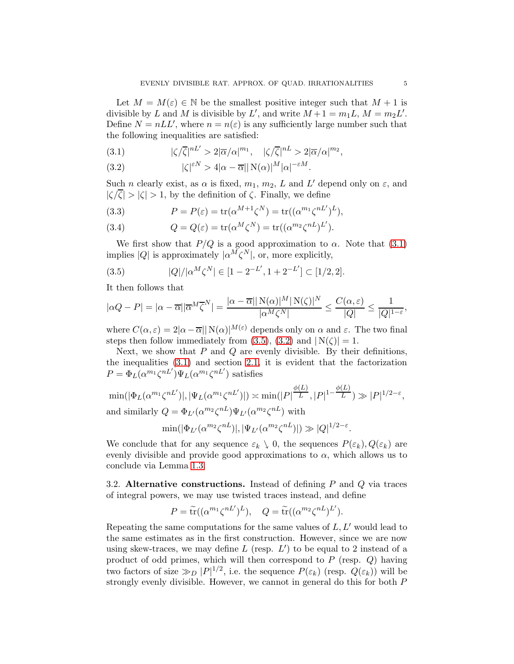Let  $M = M(\varepsilon) \in \mathbb{N}$  be the smallest positive integer such that  $M + 1$  is divisible by L and M is divisible by L', and write  $M+1 = m_1L$ ,  $M = m_2L'$ . Define  $N = nLL'$ , where  $n = n(\varepsilon)$  is any sufficiently large number such that the following inequalities are satisfied:

<span id="page-4-0"></span>(3.1) 
$$
|\zeta/\overline{\zeta}|^{nL'} > 2|\overline{\alpha}/\alpha|^{m_1}, \quad |\zeta/\overline{\zeta}|^{nL} > 2|\overline{\alpha}/\alpha|^{m_2},
$$

<span id="page-4-2"></span>(3.2) 
$$
|\zeta|^{\varepsilon N} > 4|\alpha - \overline{\alpha}| |\mathcal{N}(\alpha)|^M |\alpha|^{-\varepsilon M}.
$$

Such *n* clearly exist, as  $\alpha$  is fixed,  $m_1$ ,  $m_2$ , L and L' depend only on  $\varepsilon$ , and  $|\zeta/\overline{\zeta}| > |\zeta| > 1$ , by the definition of  $\zeta$ . Finally, we define

(3.3) 
$$
P = P(\varepsilon) = \text{tr}(\alpha^{M+1}\zeta^N) = \text{tr}((\alpha^{m_1}\zeta^{nL'})^L),
$$

(3.4) 
$$
Q = Q(\varepsilon) = \text{tr}(\alpha^M \zeta^N) = \text{tr}((\alpha^{m_2} \zeta^{nL})^{L'}).
$$

We first show that  $P/Q$  is a good approximation to  $\alpha$ . Note that [\(3.1\)](#page-4-0) implies  $|Q|$  is approximately  $|\alpha^M \zeta^N|$ , or, more explicitly,

<span id="page-4-1"></span>(3.5) 
$$
|Q|/|\alpha^M \zeta^N| \in [1 - 2^{-L'}, 1 + 2^{-L'}] \subset [1/2, 2].
$$

It then follows that

$$
|\alpha Q - P| = |\alpha - \overline{\alpha}| |\overline{\alpha}^M \overline{\zeta}^N| = \frac{|\alpha - \overline{\alpha}| |\mathcal{N}(\alpha)|^M |\mathcal{N}(\zeta)|^N}{|\alpha^M \zeta^N|} \le \frac{C(\alpha, \varepsilon)}{|Q|} \le \frac{1}{|Q|^{1-\varepsilon}},
$$

where  $C(\alpha, \varepsilon) = 2|\alpha - \overline{\alpha}| |\mathcal{N}(\alpha)|^{M(\varepsilon)}$  depends only on  $\alpha$  and  $\varepsilon$ . The two final steps then follow immediately from [\(3.5\)](#page-4-1), [\(3.2\)](#page-4-2) and  $|N(\zeta)| = 1$ .

Next, we show that  $P$  and  $Q$  are evenly divisible. By their definitions, the inequalities [\(3.1\)](#page-4-0) and section [2.1,](#page-2-1) it is evident that the factorization  $P = \Phi_L(\alpha^{m_1} \zeta^{nL'}) \Psi_L(\alpha^{m_1} \zeta^{nL'})$  satisfies

$$
\min(|\Phi_L(\alpha^{m_1}\zeta^{nL'})|, |\Psi_L(\alpha^{m_1}\zeta^{nL'})|) \asymp \min(|P|^{\frac{\phi(L)}{L}}, |P|^{1-\frac{\phi(L)}{L}}) \gg |P|^{1/2-\varepsilon},
$$
  
and similarly  $Q = \Phi_{L'}(\alpha^{m_2}\zeta^{nL})\Psi_{L'}(\alpha^{m_2}\zeta^{nL})$  with

$$
\min(|\Phi_{L'}(\alpha^{m_2}\zeta^{nL})|, |\Psi_{L'}(\alpha^{m_2}\zeta^{nL})|) \gg |Q|^{1/2-\varepsilon}.
$$

We conclude that for any sequence  $\varepsilon_k \setminus 0$ , the sequences  $P(\varepsilon_k), Q(\varepsilon_k)$  are evenly divisible and provide good approximations to  $\alpha$ , which allows us to conclude via Lemma [1.3.](#page-1-2)

3.2. Alternative constructions. Instead of defining  $P$  and  $Q$  via traces of integral powers, we may use twisted traces instead, and define

$$
P = \tilde{\mathrm{tr}}((\alpha^{m_1}\zeta^{nL'})^L), \quad Q = \tilde{\mathrm{tr}}((\alpha^{m_2}\zeta^{nL})^{L'}).
$$

Repeating the same computations for the same values of  $L, L'$  would lead to the same estimates as in the first construction. However, since we are now using skew-traces, we may define  $L$  (resp.  $L'$ ) to be equal to 2 instead of a product of odd primes, which will then correspond to  $P$  (resp.  $Q$ ) having two factors of size  $\gg_D |P|^{1/2}$ , i.e. the sequence  $P(\varepsilon_k)$  (resp.  $Q(\varepsilon_k)$ ) will be strongly evenly divisible. However, we cannot in general do this for both P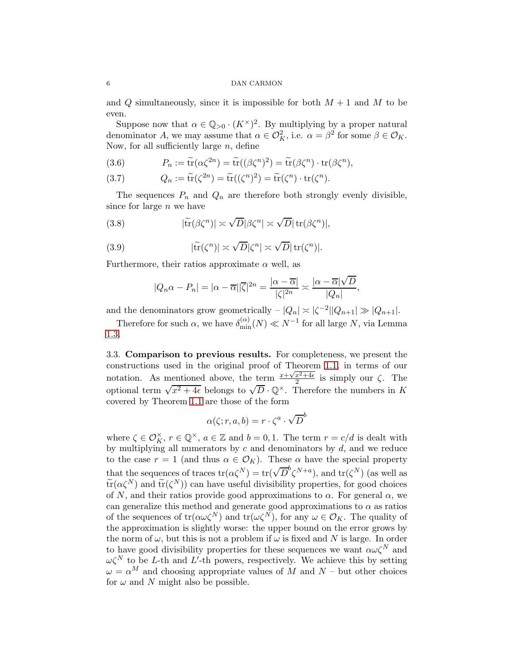and  $Q$  simultaneously, since it is impossible for both  $M + 1$  and  $M$  to be even.

Suppose now that  $\alpha \in \mathbb{Q}_{>0} \cdot (K^{\times})^2$ . By multiplying by a proper natural denominator A, we may assume that  $\alpha \in \mathcal{O}_K^2$ , i.e.  $\alpha = \beta^2$  for some  $\beta \in \mathcal{O}_K$ . Now, for all sufficiently large  $n$ , define

(3.6) 
$$
P_n := \tilde{\text{tr}}(\alpha \zeta^{2n}) = \tilde{\text{tr}}((\beta \zeta^n)^2) = \tilde{\text{tr}}(\beta \zeta^n) \cdot \text{tr}(\beta \zeta^n),
$$

(3.7) 
$$
Q_n := \tilde{\mathrm{tr}}(\zeta^{2n}) = \tilde{\mathrm{tr}}((\zeta^n)^2) = \tilde{\mathrm{tr}}(\zeta^n) \cdot \mathrm{tr}(\zeta^n).
$$

The sequences  $P_n$  and  $Q_n$  are therefore both strongly evenly divisible, since for large  $n$  we have

(3.8) 
$$
|\tilde{\mathrm{tr}}(\beta \zeta^n)| \asymp \sqrt{D} |\beta \zeta^n| \asymp \sqrt{D} |\mathrm{tr}(\beta \zeta^n)|,
$$

(3.9) 
$$
|\tilde{\mathrm{tr}}(\zeta^n)| \asymp \sqrt{D} |\zeta^n| \asymp \sqrt{D} |\mathrm{tr}(\zeta^n)|.
$$

Furthermore, their ratios approximate  $\alpha$  well, as

$$
|Q_n\alpha - P_n| = |\alpha - \overline{\alpha}| |\overline{\zeta}|^{2n} = \frac{|\alpha - \overline{\alpha}|}{|\zeta|^{2n}} \asymp \frac{|\alpha - \overline{\alpha}|\sqrt{D}}{|Q_n|},
$$

and the denominators grow geometrically  $- |Q_n| \asymp |\zeta^{-2}| |Q_{n+1}| \gg |Q_{n+1}|.$ 

Therefore for such  $\alpha$ , we have  $\delta_{\min}^{(\alpha)}(N) \ll N^{-1}$  for all large N, via Lemma [1.3.](#page-1-2)

3.3. Comparison to previous results. For completeness, we present the constructions used in the original proof of Theorem [1.1,](#page-0-1) in terms of our notation. As mentioned above, the term  $\frac{x+\sqrt{x^2+4\epsilon}}{2}$  $\frac{x^2+4\epsilon}{2}$  is simply our  $\zeta$ . The optional term  $\sqrt{x^2+4\epsilon}$  belongs to  $\sqrt{D}\cdot\mathbb{Q}^{\times}$ . Therefore the numbers in K covered by Theorem [1.1](#page-0-1) are those of the form

$$
\alpha(\zeta;r,a,b) = r \cdot \zeta^a \cdot \sqrt{D}^b
$$

where  $\zeta \in \mathcal{O}_K^{\times}$ ,  $r \in \mathbb{Q}^{\times}$ ,  $a \in \mathbb{Z}$  and  $b = 0, 1$ . The term  $r = c/d$  is dealt with by multiplying all numerators by  $c$  and denominators by  $d$ , and we reduce to the case  $r = 1$  (and thus  $\alpha \in \mathcal{O}_K$ ). These  $\alpha$  have the special property that the sequences of traces  $\text{tr}(\alpha \zeta^N) = \text{tr}(\sqrt{D}^b \zeta^{N+a})$ , and  $\text{tr}(\zeta^N)$  (as well as  $\widetilde{\text{tr}}(\alpha \zeta^N)$  and  $\widetilde{\text{tr}}(\zeta^N)$  can have useful divisibility properties, for good choices of N, and their ratios provide good approximations to  $\alpha$ . For general  $\alpha$ , we can generalize this method and generate good approximations to  $\alpha$  as ratios of the sequences of  $tr(\alpha \omega \zeta^N)$  and  $tr(\omega \zeta^N)$ , for any  $\omega \in \mathcal{O}_K$ . The quality of the approximation is slightly worse: the upper bound on the error grows by the norm of  $\omega$ , but this is not a problem if  $\omega$  is fixed and N is large. In order to have good divisibility properties for these sequences we want  $\alpha \omega \zeta^N$  and  $\omega \zeta^N$  to be L-th and L'-th powers, respectively. We achieve this by setting  $\omega = \alpha^M$  and choosing appropriate values of M and N – but other choices for  $\omega$  and N might also be possible.